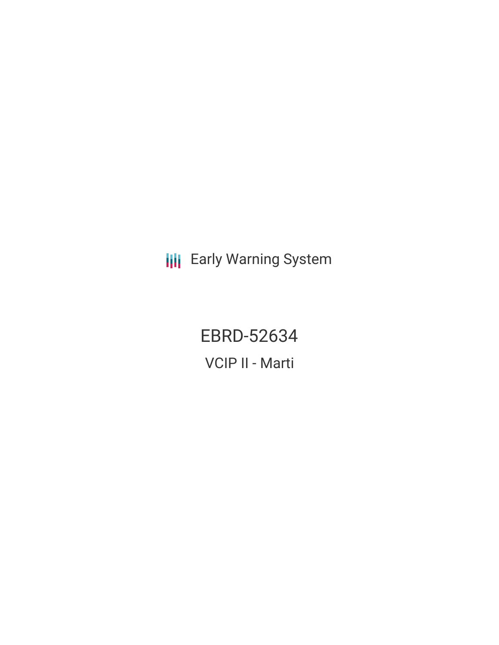**III** Early Warning System

EBRD-52634 VCIP II - Marti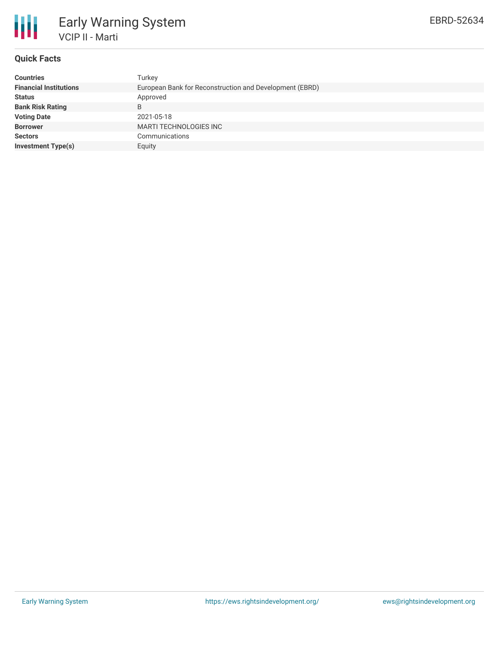

## **Quick Facts**

| <b>Countries</b>              | Turkey                                                  |
|-------------------------------|---------------------------------------------------------|
| <b>Financial Institutions</b> | European Bank for Reconstruction and Development (EBRD) |
| <b>Status</b>                 | Approved                                                |
| <b>Bank Risk Rating</b>       | B                                                       |
| <b>Voting Date</b>            | 2021-05-18                                              |
| <b>Borrower</b>               | MARTI TECHNOLOGIES INC                                  |
| <b>Sectors</b>                | Communications                                          |
| Investment Type(s)            | Equity                                                  |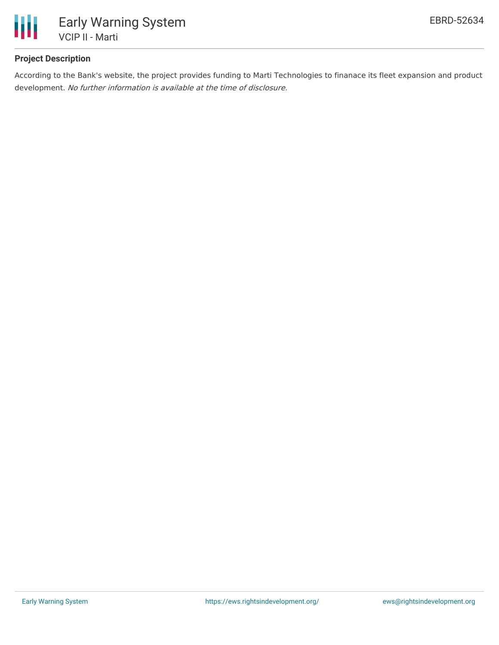

# **Project Description**

According to the Bank's website, the project provides funding to Marti Technologies to finanace its fleet expansion and product development. No further information is available at the time of disclosure.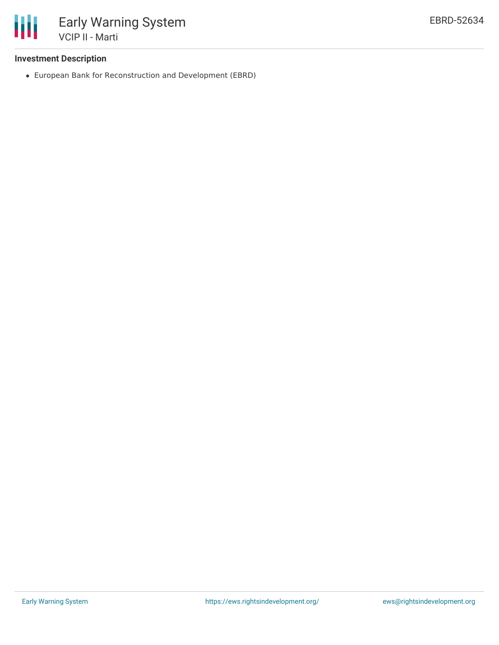

## **Investment Description**

European Bank for Reconstruction and Development (EBRD)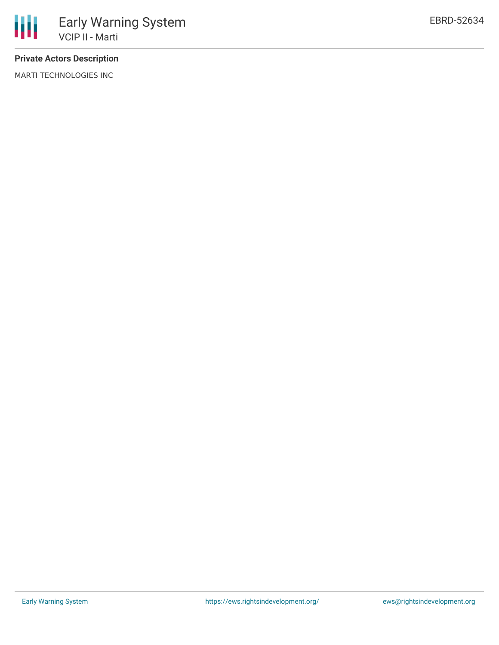

# **Private Actors Description**

MARTI TECHNOLOGIES INC